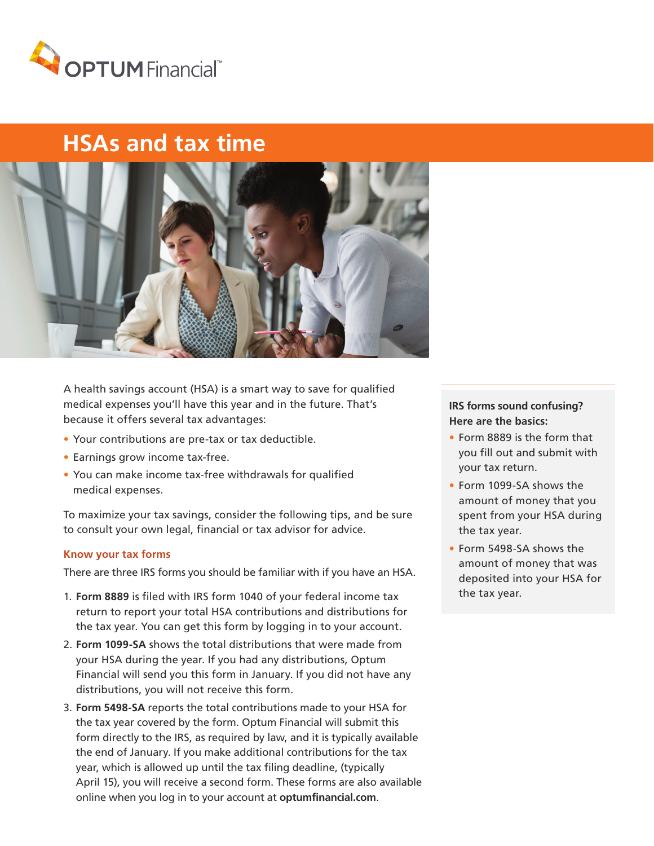

# **HSAs and tax time**



A health savings account (HSA) is a smart way to save for qualified medical expenses you'll have this year and in the future. That's because it offers several tax advantages:

- Your contributions are pre-tax or tax deductible.
- Earnings grow income tax-free.
- You can make income tax-free withdrawals for qualified medical expenses.

To maximize your tax savings, consider the following tips, and be sure to consult your own legal, financial or tax advisor for advice.

#### **Know your tax forms**

There are three IRS forms you should be familiar with if you have an HSA.

- 1. **Form 8889** is filed with IRS form 1040 of your federal income tax return to report your total HSA contributions and distributions for the tax year. You can get this form by logging in to your account.
- 2. **Form 1099-SA** shows the total distributions that were made from your HSA during the year. If you had any distributions, Optum Financial will send you this form in January. If you did not have any distributions, you will not receive this form.
- 3. **Form 5498-SA** reports the total contributions made to your HSA for the tax year covered by the form. Optum Financial will submit this form directly to the IRS, as required by law, and it is typically available the end of January. If you make additional contributions for the tax year, which is allowed up until the tax filing deadline, (typically April 15), you will receive a second form. These forms are also available online when you log in to your account at **optumfinancial.com**.

## **IRS forms sound confusing? Here are the basics:**

- Form 8889 is the form that you fill out and submit with your tax return.
- Form 1099-SA shows the amount of money that you spent from your HSA during the tax year.
- Form 5498-SA shows the amount of money that was deposited into your HSA for the tax year.